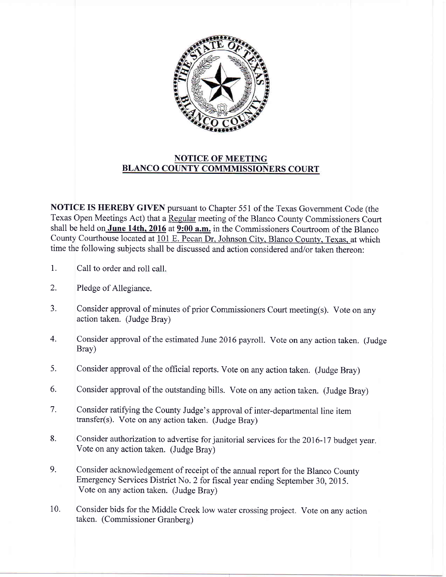

## NOTICE OF MEETING BLANCO COUNTY COMMMISSIONERS COURT

NOTICE IS HEREBY GIVEN pursuant to Chapter 551 of the Texas Government Code (the Texas Open Meetings Act) that a Regular meeting of the Blanco County Commissioners Court shall be held on June 14th,  $2016$  at  $9:00$  a.m. in the Commissioners Courtroom of the Blanco County Courthouse located at 101 E. Pecan Dr, Johnson City, Blanco County, Texas, at which time the following subjects shall be discussed and action considered and/or taken thereon:

- 1. Call to order and roll call.
- Pledge of Allegiance. 2.
- Consider approval of minutes of prior Commissioners Court meeting(s). Vote on any action taken. (Judge Bray) a J.
- Consider approval of the estimated June 2016 payroll. Vote on any action taken. (Judge Bray) 4.
- Consider approval of the official reports. Vote on any action taken. (Judge Bray) 5.
- Consider approval of the outstanding bills. Vote on any action taken. (Judge Bray) 6.
- Consider ratifying the County Judge's approval of inter-departmental line item transfer(s). Vote on any action taken. (Judge Bray) 7.
- Consider authorization to advertise for janitorial services for the 2016-17 budget year. Vote on any action taken. (Judge Bray) 8.
- Consider acknowledgement of receipt of the annual report for the Blanco County Emergency services District No. 2 for fiscal year ending September 30,2015. Vote on any action taken. (Judge Bray) 9.
- Consider bids for the Middle Creek low water crossing project. Vote on any action taken. (Commissioner Granberg) 10.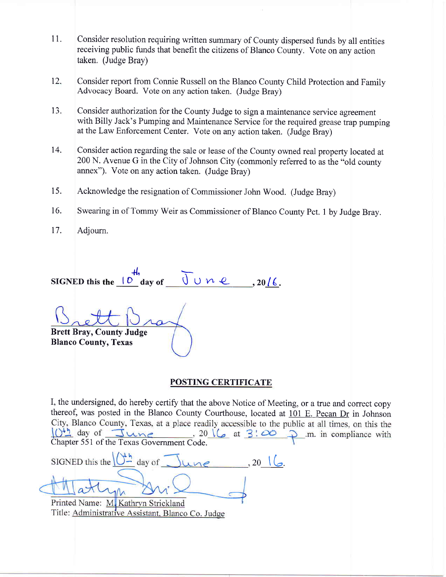- 11. Consider resolution requiring written swnmary of County dispersed funds by all entities receiving public funds that benefit the citizens of Blanco County. Vote on any action taken. (Judge Bray)
- Consider report from Connie Russell on the Blanco County Child Protection and Family Advocacy Board. Vote on any action taken. (Judge Bray) t2.
- Consider authorization for the County Judge to sign a maintenance service agreement with Billy Jack's Pumping and Maintenance Service for the required grease trap pumping at the Law Enforcement Center. Vote on any action taken. (Judge Bray) 13.
- Consider action regarding the sale or lease of the County owned real property located at 200 N. Avenue G in the City of Johnson City (commonly referred to as the "old county annex"). Vote on any action taken. (Judge Bray) 14.
- Acknowledge the resignation of Commissioner John Wood. (Judge Bray) 15.
- Swearing in of Tommy Weir as Commissioner of Blanco County Pct. 1 by Judge Bray. 16.
- Adjourn. t7.

SIGNED this the  $\frac{10}{\text{ days of}} \frac{10}{\text{ y}} \times 2016$ 

Brett Bray, County Judge Blanco County, Texas

## POSTING CERTIFICATE

I, the undersigned, do hereby certify that the above Notice of Meeting, or a true and correct copy thereof, was posted in the Blanco County Courthouse, located at  $\underline{101}$  E. Pecan Dr in Johnson City, Blanco County, Texas, at a place readily accessible to the public at all times, on this the  $0<sup>th</sup>$  day of June , 20  $\left(\right)$  at  $3!\infty$   $\supset$  .m. in compliance with Chapter 551 of the Texas Government Code.

SIGNED this the  $\sqrt{\frac{4h}{m}}$  day of  $\sqrt{\frac{4h}{m}}$  $\sim$ . 20  $\sqrt{2}$ . Printed Name: M. Kathryn Strickland

Title: Administrative Assistant, Blanco Co. Judge